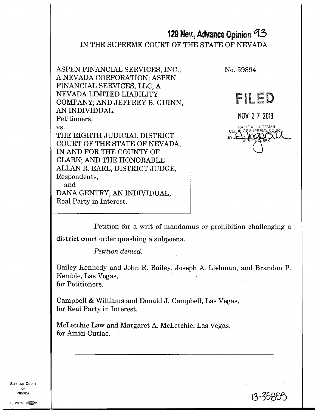# **129 Nev., Advance Opinion** 13

IN THE SUPREME COURT OF THE STATE OF NEVADA

ASPEN FINANCIAL SERVICES, INC., A NEVADA CORPORATION; ASPEN FINANCIAL SERVICES, LLC, A NEVADA LIMITED LIABILITY COMPANY; AND JEFFREY B. GUINN, AN INDIVIDUAL, Petitioners,

vs.

THE EIGHTH JUDICIAL DISTRICT COURT OF THE STATE OF NEVADA, IN AND FOR THE COUNTY OF CLARK; AND THE HONORABLE ALLAN R. EARL, DISTRICT JUDGE, Respondents, and DANA GENTRY, AN INDIVIDUAL,

Real Party in Interest.



i3 -35e55

Petition for a writ of mandamus or prohibition challenging a

district court order quashing a subpoena.

*Petition denied.* 

Bailey Kennedy and John R. Bailey, Joseph A. Liebman, and Brandon P. Kemble, Las Vegas, for Petitioners.

Campbell & Williams and Donald J. Campbell, Las Vegas, for Real Party in Interest.

McLetchie Law and Margaret A. McLetchie, Las Vegas, for Amici Curiae.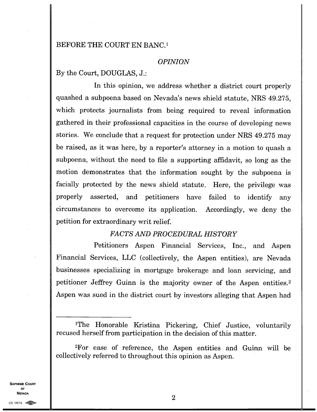#### BEFORE THE COURT EN BANC.'

#### *OPINION*

By the Court, DOUGLAS, J.:

In this opinion, we address whether a district court properly quashed a subpoena based on Nevada's news shield statute, NRS 49.275, which protects journalists from being required to reveal information gathered in their professional capacities in the course of developing news stories. We conclude that a request for protection under NRS 49.275 may be raised, as it was here, by a reporter's attorney in a motion to quash a subpoena, without the need to file a supporting affidavit, so long as the motion demonstrates that the information sought by the subpoena is facially protected by the news shield statute. Here, the privilege was properly asserted, and petitioners have failed to identify any circumstances to overcome its application. Accordingly, we deny the petition for extraordinary writ relief.

# *FACTS AND PROCEDURAL HISTORY*

Petitioners Aspen Financial Services, Inc., and Aspen Financial Services, LLC (collectively, the Aspen entities), are Nevada businesses specializing in mortgage brokerage and loan servicing, and petitioner Jeffrey Guinn is the majority owner of the Aspen entities. <sup>2</sup> Aspen was sued in the district court by investors alleging that Aspen had

<sup>1</sup>The Honorable Kristina Pickering, Chief Justice, voluntarily recused herself from participation in the decision of this matter.

<sup>2</sup>For ease of reference, the Aspen entities and Guinn will be collectively referred to throughout this opinion as Aspen.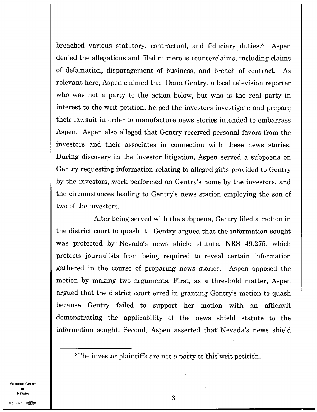breached various statutory, contractual, and fiduciary duties.<sup>3</sup> Aspen denied the allegations and filed numerous counterclaims, including claims of defamation, disparagement of business, and breach of contract. As relevant here, Aspen claimed that Dana Gentry, a local television reporter who was not a party to the action below, but who is the real party in interest to the writ petition, helped the investors investigate and prepare their lawsuit in order to manufacture news stories intended to embarrass Aspen. Aspen also alleged that Gentry received personal favors from the investors and their associates in connection with these news stories. During discovery in the investor litigation, Aspen served a subpoena on Gentry requesting information relating to alleged gifts provided to Gentry by the investors, work performed on Gentry's home by the investors, and the circumstances leading to Gentry's news station employing the son of two of the investors.

After being served with the subpoena, Gentry filed a motion in the district court to quash it. Gentry argued that the information sought was protected by Nevada's news shield statute, NRS 49.275, which protects journalists from being required to reveal certain information gathered in the course of preparing news stories. Aspen opposed the motion by making two arguments. First, as a threshold matter, Aspen argued that the district court erred in granting Gentry's motion to quash because Gentry failed to support her motion with an affidavit demonstrating the applicability of the news shield statute to the information sought. Second, Aspen asserted that Nevada's news shield

<sup>3</sup>The investor plaintiffs are not a party to this writ petition.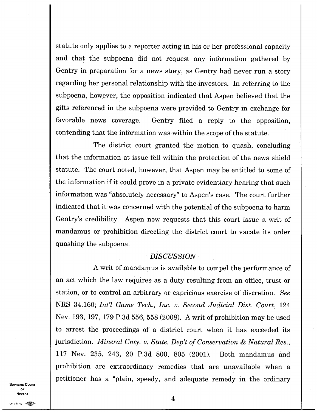statute only applies to a reporter acting in his or her professional capacity and that the subpoena did not request any information gathered by Gentry in preparation for a news story, as Gentry had never run a story regarding her personal relationship with the investors. In referring to the subpoena, however, the opposition indicated that Aspen believed that the gifts referenced in the subpoena were provided to Gentry in exchange for favorable news coverage. Gentry filed a reply to the opposition, contending that the information was within the scope of the statute.

The district court granted the motion to quash, concluding that the information at issue fell within the protection of the news shield statute. The court noted, however, that Aspen may be entitled to some of the information if it could prove in a private evidentiary hearing that such information was "absolutely necessary" to Aspen's case. The court further indicated that it was concerned with the potential of the subpoena to harm Gentry's credibility. Aspen now requests that this court issue a writ of mandamus or prohibition directing the district court to vacate its order quashing the subpoena.

# *DISCUSSION*

A writ of mandamus is available to compel the performance of an act which the law requires as a duty resulting from an office, trust or station, or to control an arbitrary or capricious exercise of discretion. *See*  NRS 34.160; *Int'l Game Tech., Inc. v. Second Judicial Dist. Court,* 124 Nev. 193, 197, 179 P.3d 556, 558 (2008). A writ of prohibition may be used to arrest the proceedings of a district court when it has exceeded its jurisdiction. *Mineral Cnty. v. State, Dep't of Conservation & Natural Res.,*  117 Nev. 235, 243, 20 P.3d 800, 805 (2001). Both mandamus and prohibition are extraordinary remedies that are unavailable when a petitioner has a "plain, speedy, and adequate remedy in the ordinary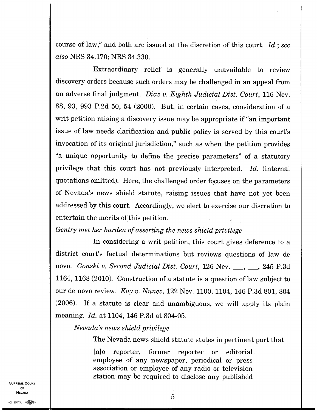course of law," and both are issued at the discretion of this court. *Id.; see also* NRS 34.170; NRS 34.330.

Extraordinary relief is generally unavailable to review discovery orders because such orders may be challenged in an appeal from an adverse final judgment. *Diaz v. Eighth Judicial Dist. Court,* 116 Nev. 88, 93, 993 P.2d 50, 54 (2000). But, in certain cases, consideration of a writ petition raising a discovery issue may be appropriate if "an important issue of law needs clarification and public policy is served by this court's invocation of its original jurisdiction," such as when the petition provides "a unique opportunity to define the precise parameters" of a statutory privilege that this court has not previously interpreted. *Id.* (internal quotations omitted). Here, the challenged order focuses on the parameters of Nevada's news shield statute, raising issues that have not yet been addressed by this court. Accordingly, we elect to exercise our discretion to entertain the merits of this petition.

*Gentry met her burden of asserting the news shield privilege* 

In considering a writ petition, this court gives deference to a district court's factual determinations but reviews questions of law de novo. *Gonski v. Second Judicial Dist. Court,* 126 Nev. \_\_, \_\_, 245 P.3d 1164, 1168 (2010). Construction of a statute is a question of law subject to our de novo review. *Kay v. Nunez,* 122 Nev. 1100, 1104, 146 P.3d 801, 804 (2006). If a statute is clear and unambiguous, we will apply its plain meaning. *Id.* at 1104, 146 P.3d at 804-05.

*Nevada's news shield privilege* 

The Nevada news shield statute states in pertinent part that

[n]o reporter, former reporter or editorial employee of any newspaper, periodical or press association or employee of any radio or television station may be required to disclose any published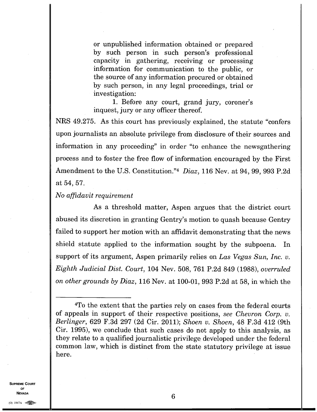or unpublished information obtained or prepared by such person in such person's professional capacity in gathering, receiving or processing information for communication to the public, or the source of any information procured or obtained by such person, in any legal proceedings, trial or investigation:

1. Before any court, grand jury, coroner's inquest, jury or any officer thereof.

NRS 49.275. As this court has previously explained, the statute "confers upon journalists an absolute privilege from disclosure of their sources and information in any proceeding" in order "to enhance the newsgathering process and to foster the free flow of information encouraged by the First Amendment to the U.S. Constitution."<sup>4</sup> Diaz, 116 Nev. at 94, 99, 993 P.2d at 54, 57.

*No affidavit requirement* 

As a threshold matter, Aspen argues that the district court abused its discretion in granting Gentry's motion to quash because Gentry failed to support her motion with an affidavit demonstrating that the news shield statute applied to the information sought by the subpoena. In support of its argument, Aspen primarily relies on *Las Vegas Sun, Inc. v. Eighth Judicial Dist. Court,* 104 Nev. 508, 761 P.2d 849 (1988), *overruled on other grounds by Diaz,* 116 Nev. at 100-01, 993 P.2d at 58, in which the

**SUPREME COURT OF NEVADA** 

6

<sup>4</sup>To the extent that the parties rely on cases from the federal courts of appeals in support of their respective positions, *see Chevron Corp. v. Berlinger,* 629 F.3d 297 (2d Cir. 2011); *Shoen v. Shoen,* 48 F.3d 412 (9th Cir. 1995), we conclude that such cases do not apply to this analysis, as they relate to a qualified journalistic privilege developed under the federal common law, which is distinct from the state statutory privilege at issue here.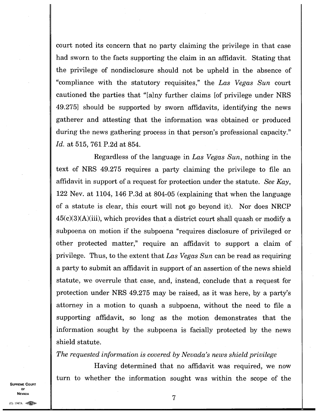court noted its concern that no party claiming the privilege in that case had sworn to the facts supporting the claim in an affidavit. Stating that the privilege of nondisclosure should not be upheld in the absence of "compliance with the statutory requisites," the *Las Vegas Sun* court cautioned the parties that "[a]ny further claims [of privilege under NRS 49.275] should be supported by sworn affidavits, identifying the news gatherer and attesting that the information was obtained or produced during the news gathering process in that person's professional capacity." *Id.* at 515, 761 P.2d at 854.

Regardless of the language in *Las Vegas Sun,* nothing in the text of NRS 49.275 requires a party claiming the privilege to file an affidavit in support of a request for protection under the statute. *See Kay,*  122 Nev. at 1104, 146 P.3d at 804-05 (explaining that when the language of a statute is clear, this court will not go beyond it). Nor does NRCP  $45(c)(3)(A)(iii)$ , which provides that a district court shall quash or modify a subpoena on motion if the subpoena "requires disclosure of privileged or other protected matter," require an affidavit to support a claim of privilege. Thus, to the extent that *Las Vegas Sun* can be read as requiring a party to submit an affidavit in support of an assertion of the news shield statute, we overrule that case, and, instead, conclude that a request for protection under NRS 49.275 may be raised, as it was here, by a party's attorney in a motion to quash a subpoena, without the need to file a supporting affidavit, so long as the motion demonstrates that the information sought by the subpoena is facially protected by the news shield statute.

*The requested information is covered by Nevada's news shield privilege* 

Having determined that no affidavit was required, we now turn to whether the information sought was within the scope of the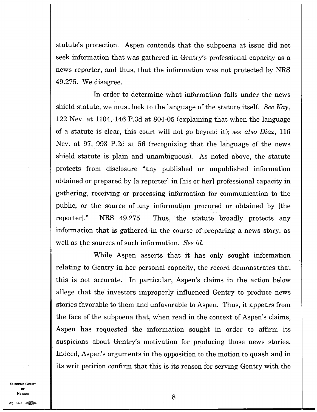statute's protection. Aspen contends that the subpoena at issue did not seek information that was gathered in Gentry's professional capacity as a news reporter, and thus, that the information was not protected by NRS 49.275. We disagree.

In order to determine what information falls under the news shield statute, we must look to the language of the statute itself. *See Kay,*  122 Nev. at 1104, 146 P.3d at 804-05 (explaining that when the language of a statute is clear, this court will not go beyond it); *see also Diaz,* 116 Nev. at 97, 993 P.2d at 56 (recognizing that the language of the news shield statute is plain and unambiguous). As noted above, the statute protects from disclosure "any published or unpublished information obtained or prepared by [a reporter] in [his or her] professional capacity in gathering, receiving or processing information for communication to the public, or the source of any information procured or obtained by [the reporter]." NRS 49.275. Thus, the statute broadly protects any information that is gathered in the course of preparing a news story, as well as the sources of such information. *See id.* 

While Aspen asserts that it has only sought information relating to Gentry in her personal capacity, the record demonstrates that this is not accurate. In particular, Aspen's claims in the action below allege that the investors improperly influenced Gentry to produce news stories favorable to them and unfavorable to Aspen. Thus, it appears from the face of the subpoena that, when read in the context of Aspen's claims, Aspen has requested the information sought in order to affirm its suspicions about Gentry's motivation for producing those news stories. Indeed, Aspen's arguments in the opposition to the motion to quash and in its writ petition confirm that this is its reason for serving Gentry with the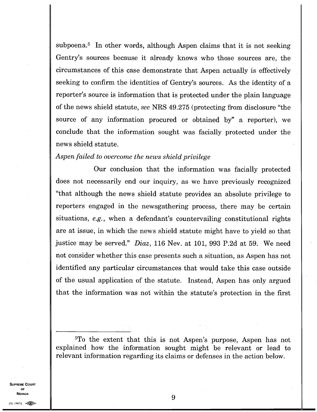subpoena.<sup>5</sup> In other words, although Aspen claims that it is not seeking Gentry's sources because it already knows who those sources are, the circumstances of this case demonstrate that Aspen actually is effectively seeking to confirm the identities of Gentry's sources. As the identity of a reporter's source is information that is protected under the plain language of the news shield statute, *see* NRS 49.275 (protecting from disclosure "the source of any information procured or obtained by" a reporter), we conclude that the information sought was facially protected under the news shield statute.

#### *Aspen failed to overcome the news shield privilege*

Our conclusion that the information was facially protected does not necessarily end our inquiry, as we have previously recognized "that although the news shield statute provides an absolute privilege to reporters engaged in the newsgathering process, there may be certain situations, *e.g.,* when a defendant's countervailing constitutional rights are at issue, in which the news shield statute might have to yield so that justice may be served." *Diaz,* 116 Nev. at 101, 993 P.2d at 59. We need not consider whether this case presents such a situation, as Aspen has not identified any particular circumstances that would take this case outside of the usual application of the statute. Instead, Aspen has only argued that the information was not within the statute's protection in the first

<sup>5</sup>To the extent that this is not Aspen's purpose, Aspen has not explained how the information sought might be relevant or lead to relevant information regarding its claims or defenses in the action below.